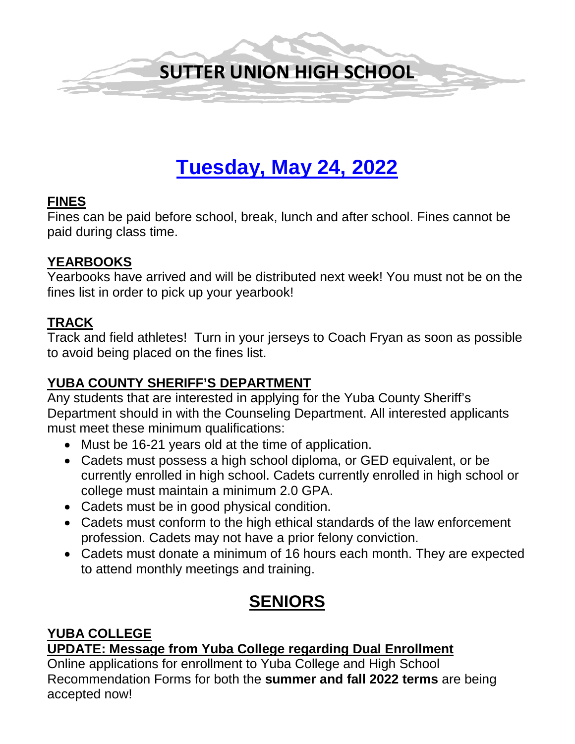

# **Tuesday, May 24, 2022**

#### **FINES**

Fines can be paid before school, break, lunch and after school. Fines cannot be paid during class time.

#### **YEARBOOKS**

Yearbooks have arrived and will be distributed next week! You must not be on the fines list in order to pick up your yearbook!

#### **TRACK**

Track and field athletes! Turn in your jerseys to Coach Fryan as soon as possible to avoid being placed on the fines list.

#### **YUBA COUNTY SHERIFF'S DEPARTMENT**

Any students that are interested in applying for the Yuba County Sheriff's Department should in with the Counseling Department. All interested applicants must meet these minimum qualifications:

- Must be 16-21 years old at the time of application.
- Cadets must possess a high school diploma, or GED equivalent, or be currently enrolled in high school. Cadets currently enrolled in high school or college must maintain a minimum 2.0 GPA.
- Cadets must be in good physical condition.
- Cadets must conform to the high ethical standards of the law enforcement profession. Cadets may not have a prior felony conviction.
- Cadets must donate a minimum of 16 hours each month. They are expected to attend monthly meetings and training.

## **SENIORS**

#### **YUBA COLLEGE**

**UPDATE: Message from Yuba College regarding Dual Enrollment**

Online applications for enrollment to Yuba College and High School Recommendation Forms for both the **summer and fall 2022 terms** are being accepted now!